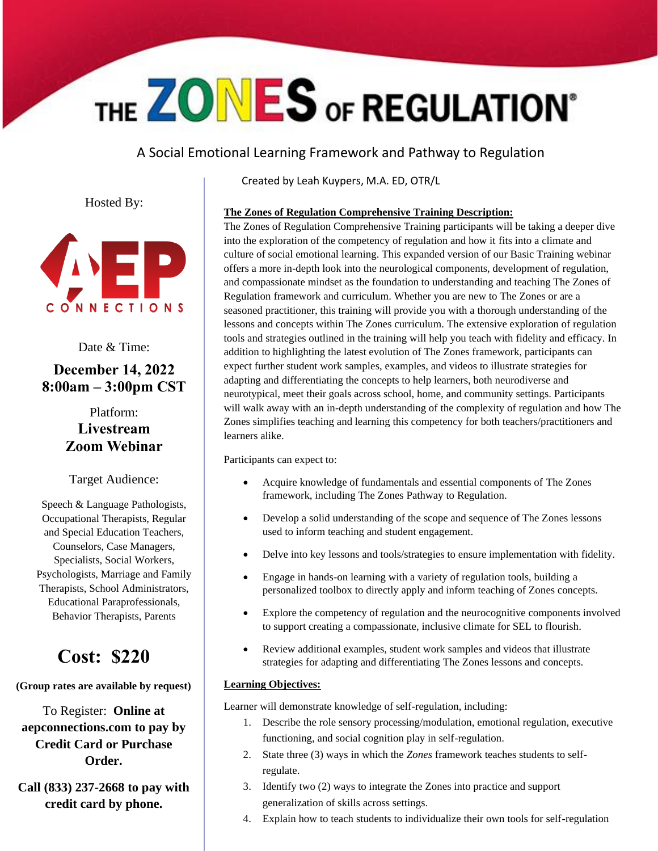# THE ZONES OF REGULATION®

A Social Emotional Learning Framework and Pathway to Regulation

Hosted By:



Date & Time:

### **December 14, 2022 8:00am – 3:00pm CST**

### Platform: **Livestream Zoom Webinar**

Target Audience:

Speech & Language Pathologists, Occupational Therapists, Regular and Special Education Teachers, Counselors, Case Managers, Specialists, Social Workers, Psychologists, Marriage and Family Therapists, School Administrators, Educational Paraprofessionals, Behavior Therapists, Parents

## **Cost: \$220**

**(Group rates are available by request)**

To Register: **Online at aepconnections.com to pay by Credit Card or Purchase Order.**

**Call (833) 237-2668 to pay with credit card by phone.**

Created by Leah Kuypers, M.A. ED, OTR/L

#### **The Zones of Regulation Comprehensive Training Description:**

The Zones of Regulation Comprehensive Training participants will be taking a deeper dive into the exploration of the competency of regulation and how it fits into a climate and culture of social emotional learning. This expanded version of our Basic Training webinar offers a more in-depth look into the neurological components, development of regulation, and compassionate mindset as the foundation to understanding and teaching The Zones of Regulation framework and curriculum. Whether you are new to The Zones or are a seasoned practitioner, this training will provide you with a thorough understanding of the lessons and concepts within The Zones curriculum. The extensive exploration of regulation tools and strategies outlined in the training will help you teach with fidelity and efficacy. In addition to highlighting the latest evolution of The Zones framework, participants can expect further student work samples, examples, and videos to illustrate strategies for adapting and differentiating the concepts to help learners, both neurodiverse and neurotypical, meet their goals across school, home, and community settings. Participants will walk away with an in-depth understanding of the complexity of regulation and how The Zones simplifies teaching and learning this competency for both teachers/practitioners and learners alike.

Participants can expect to:

- Acquire knowledge of fundamentals and essential components of The Zones framework, including The Zones Pathway to Regulation.
- Develop a solid understanding of the scope and sequence of The Zones lessons used to inform teaching and student engagement.
- Delve into key lessons and tools/strategies to ensure implementation with fidelity.
- Engage in hands-on learning with a variety of regulation tools, building a personalized toolbox to directly apply and inform teaching of Zones concepts.
- Explore the competency of regulation and the neurocognitive components involved to support creating a compassionate, inclusive climate for SEL to flourish.
- Review additional examples, student work samples and videos that illustrate strategies for adapting and differentiating The Zones lessons and concepts.

#### **Learning Objectives:**

Learner will demonstrate knowledge of self-regulation, including:

- 1. Describe the role sensory processing/modulation, emotional regulation, executive functioning, and social cognition play in self-regulation.
- 2. State three (3) ways in which the *Zones* framework teaches students to selfregulate.
- 3. Identify two (2) ways to integrate the Zones into practice and support generalization of skills across settings.
- 4. Explain how to teach students to individualize their own tools for self-regulation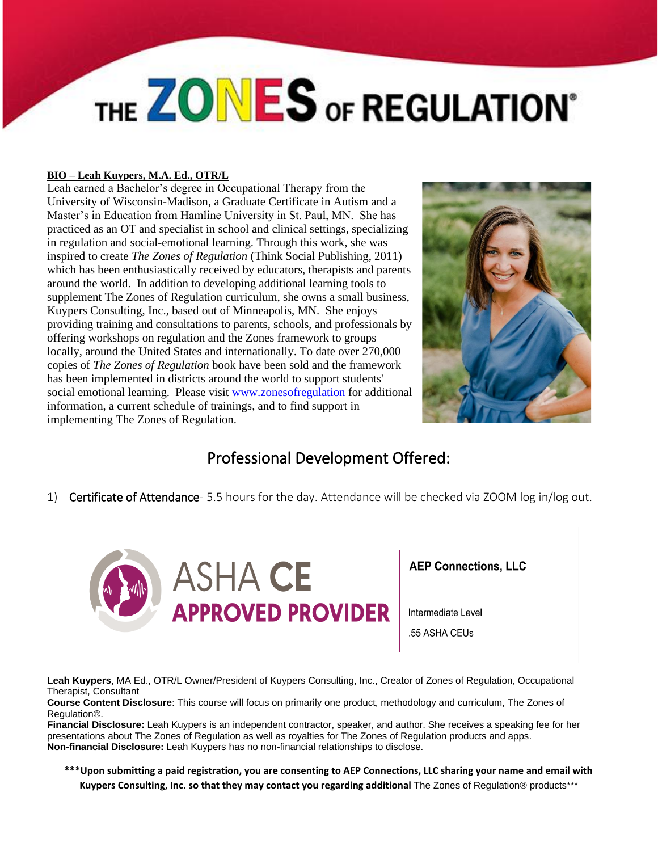# THE ZONES OF REGULATION®

#### **BIO – Leah Kuypers, M.A. Ed., OTR/L**

Leah earned a Bachelor's degree in Occupational Therapy from the University of Wisconsin-Madison, a Graduate Certificate in Autism and a Master's in Education from Hamline University in St. Paul, MN. She has practiced as an OT and specialist in school and clinical settings, specializing in regulation and social-emotional learning. Through this work, she was inspired to create *The Zones of Regulation* (Think Social Publishing, 2011) which has been enthusiastically received by educators, therapists and parents around the world. In addition to developing additional learning tools to supplement The Zones of Regulation curriculum, she owns a small business, Kuypers Consulting, Inc., based out of Minneapolis, MN. She enjoys providing training and consultations to parents, schools, and professionals by offering workshops on regulation and the Zones framework to groups locally, around the United States and internationally. To date over 270,000 copies of *The Zones of Regulation* book have been sold and the framework has been implemented in districts around the world to support students' social emotional learning. Please visit [www.zonesofregulation](http://www.zonesofregulation/) for additional information, a current schedule of trainings, and to find support in implementing The Zones of Regulation.



### Professional Development Offered:

1) Certificate of Attendance- 5.5 hours for the day. Attendance will be checked via ZOOM log in/log out.



**AEP Connections, LLC** 

Intermediate Level .55 ASHA CEUs

**Leah Kuypers**, MA Ed., OTR/L Owner/President of Kuypers Consulting, Inc., Creator of Zones of Regulation, Occupational Therapist, Consultant

**Course Content Disclosure**: This course will focus on primarily one product, methodology and curriculum, The Zones of Regulation®.

**Financial Disclosure:** Leah Kuypers is an independent contractor, speaker, and author. She receives a speaking fee for her presentations about The Zones of Regulation as well as royalties for The Zones of Regulation products and apps. **Non-financial Disclosure:** Leah Kuypers has no non-financial relationships to disclose.

**\*\*\*Upon submitting a paid registration, you are consenting to AEP Connections, LLC sharing your name and email with Kuypers Consulting, Inc. so that they may contact you regarding additional** The Zones of Regulation® products\*\*\*